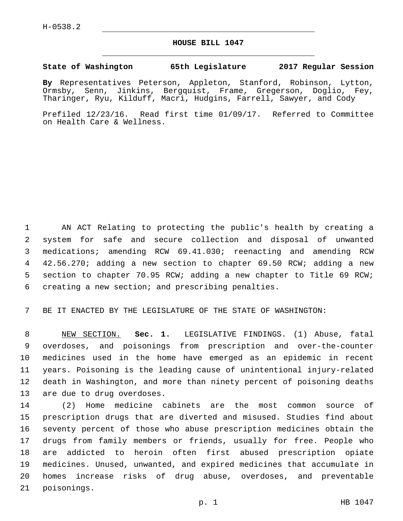## **HOUSE BILL 1047**

## **State of Washington 65th Legislature 2017 Regular Session**

**By** Representatives Peterson, Appleton, Stanford, Robinson, Lytton, Ormsby, Senn, Jinkins, Bergquist, Frame, Gregerson, Doglio, Fey, Tharinger, Ryu, Kilduff, Macri, Hudgins, Farrell, Sawyer, and Cody

Prefiled 12/23/16. Read first time 01/09/17. Referred to Committee on Health Care & Wellness.

 AN ACT Relating to protecting the public's health by creating a system for safe and secure collection and disposal of unwanted medications; amending RCW 69.41.030; reenacting and amending RCW 42.56.270; adding a new section to chapter 69.50 RCW; adding a new section to chapter 70.95 RCW; adding a new chapter to Title 69 RCW; 6 creating a new section; and prescribing penalties.

BE IT ENACTED BY THE LEGISLATURE OF THE STATE OF WASHINGTON:

 NEW SECTION. **Sec. 1.** LEGISLATIVE FINDINGS. (1) Abuse, fatal overdoses, and poisonings from prescription and over-the-counter medicines used in the home have emerged as an epidemic in recent years. Poisoning is the leading cause of unintentional injury-related death in Washington, and more than ninety percent of poisoning deaths are due to drug overdoses.

 (2) Home medicine cabinets are the most common source of prescription drugs that are diverted and misused. Studies find about seventy percent of those who abuse prescription medicines obtain the drugs from family members or friends, usually for free. People who are addicted to heroin often first abused prescription opiate medicines. Unused, unwanted, and expired medicines that accumulate in homes increase risks of drug abuse, overdoses, and preventable 21 poisonings.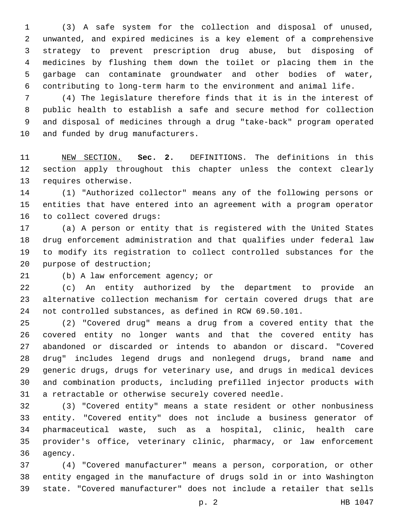(3) A safe system for the collection and disposal of unused, unwanted, and expired medicines is a key element of a comprehensive strategy to prevent prescription drug abuse, but disposing of medicines by flushing them down the toilet or placing them in the garbage can contaminate groundwater and other bodies of water, contributing to long-term harm to the environment and animal life.

 (4) The legislature therefore finds that it is in the interest of public health to establish a safe and secure method for collection and disposal of medicines through a drug "take-back" program operated 10 and funded by drug manufacturers.

 NEW SECTION. **Sec. 2.** DEFINITIONS. The definitions in this section apply throughout this chapter unless the context clearly requires otherwise.

 (1) "Authorized collector" means any of the following persons or entities that have entered into an agreement with a program operator 16 to collect covered drugs:

 (a) A person or entity that is registered with the United States drug enforcement administration and that qualifies under federal law to modify its registration to collect controlled substances for the 20 purpose of destruction;

21 (b) A law enforcement agency; or

 (c) An entity authorized by the department to provide an alternative collection mechanism for certain covered drugs that are not controlled substances, as defined in RCW 69.50.101.

 (2) "Covered drug" means a drug from a covered entity that the covered entity no longer wants and that the covered entity has abandoned or discarded or intends to abandon or discard. "Covered drug" includes legend drugs and nonlegend drugs, brand name and generic drugs, drugs for veterinary use, and drugs in medical devices and combination products, including prefilled injector products with a retractable or otherwise securely covered needle.

 (3) "Covered entity" means a state resident or other nonbusiness entity. "Covered entity" does not include a business generator of pharmaceutical waste, such as a hospital, clinic, health care provider's office, veterinary clinic, pharmacy, or law enforcement 36 agency.

 (4) "Covered manufacturer" means a person, corporation, or other entity engaged in the manufacture of drugs sold in or into Washington state. "Covered manufacturer" does not include a retailer that sells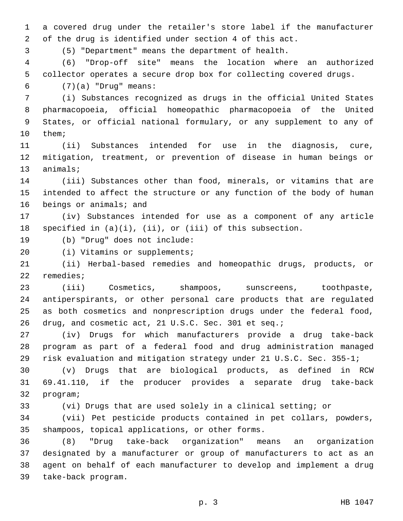a covered drug under the retailer's store label if the manufacturer of the drug is identified under section 4 of this act.

(5) "Department" means the department of health.

 (6) "Drop-off site" means the location where an authorized collector operates a secure drop box for collecting covered drugs.

(7)(a) "Drug" means:6

 (i) Substances recognized as drugs in the official United States pharmacopoeia, official homeopathic pharmacopoeia of the United States, or official national formulary, or any supplement to any of 10 them;

 (ii) Substances intended for use in the diagnosis, cure, mitigation, treatment, or prevention of disease in human beings or 13 animals;

 (iii) Substances other than food, minerals, or vitamins that are intended to affect the structure or any function of the body of human 16 beings or animals; and

 (iv) Substances intended for use as a component of any article specified in (a)(i), (ii), or (iii) of this subsection.

19 (b) "Drug" does not include:

20 (i) Vitamins or supplements;

 (ii) Herbal-based remedies and homeopathic drugs, products, or 22 remedies;

 (iii) Cosmetics, shampoos, sunscreens, toothpaste, antiperspirants, or other personal care products that are regulated as both cosmetics and nonprescription drugs under the federal food, drug, and cosmetic act, 21 U.S.C. Sec. 301 et seq.;

 (iv) Drugs for which manufacturers provide a drug take-back program as part of a federal food and drug administration managed risk evaluation and mitigation strategy under 21 U.S.C. Sec. 355-1;

 (v) Drugs that are biological products, as defined in RCW 69.41.110, if the producer provides a separate drug take-back 32 program;

(vi) Drugs that are used solely in a clinical setting; or

 (vii) Pet pesticide products contained in pet collars, powders, 35 shampoos, topical applications, or other forms.

 (8) "Drug take-back organization" means an organization designated by a manufacturer or group of manufacturers to act as an agent on behalf of each manufacturer to develop and implement a drug 39 take-back program.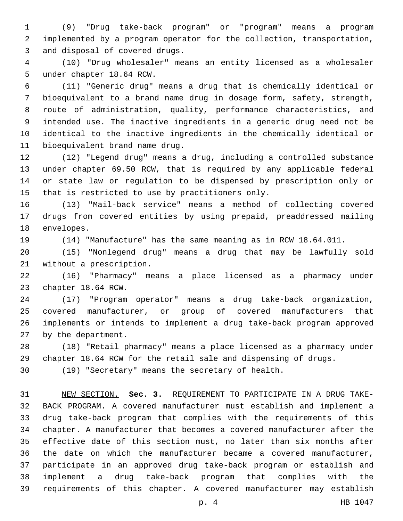(9) "Drug take-back program" or "program" means a program implemented by a program operator for the collection, transportation, 3 and disposal of covered drugs.

 (10) "Drug wholesaler" means an entity licensed as a wholesaler 5 under chapter 18.64 RCW.

 (11) "Generic drug" means a drug that is chemically identical or bioequivalent to a brand name drug in dosage form, safety, strength, route of administration, quality, performance characteristics, and intended use. The inactive ingredients in a generic drug need not be identical to the inactive ingredients in the chemically identical or 11 bioequivalent brand name drug.

 (12) "Legend drug" means a drug, including a controlled substance under chapter 69.50 RCW, that is required by any applicable federal or state law or regulation to be dispensed by prescription only or 15 that is restricted to use by practitioners only.

 (13) "Mail-back service" means a method of collecting covered drugs from covered entities by using prepaid, preaddressed mailing 18 envelopes.

(14) "Manufacture" has the same meaning as in RCW 18.64.011.

 (15) "Nonlegend drug" means a drug that may be lawfully sold 21 without a prescription.

 (16) "Pharmacy" means a place licensed as a pharmacy under 23 chapter 18.64 RCW.

 (17) "Program operator" means a drug take-back organization, covered manufacturer, or group of covered manufacturers that implements or intends to implement a drug take-back program approved 27 by the department.

 (18) "Retail pharmacy" means a place licensed as a pharmacy under chapter 18.64 RCW for the retail sale and dispensing of drugs.

(19) "Secretary" means the secretary of health.

 NEW SECTION. **Sec. 3.** REQUIREMENT TO PARTICIPATE IN A DRUG TAKE- BACK PROGRAM. A covered manufacturer must establish and implement a drug take-back program that complies with the requirements of this chapter. A manufacturer that becomes a covered manufacturer after the effective date of this section must, no later than six months after the date on which the manufacturer became a covered manufacturer, participate in an approved drug take-back program or establish and implement a drug take-back program that complies with the requirements of this chapter. A covered manufacturer may establish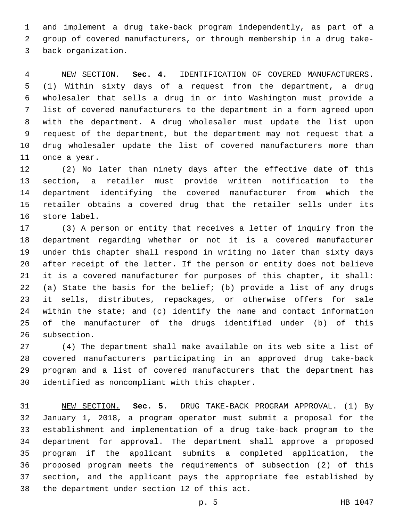and implement a drug take-back program independently, as part of a group of covered manufacturers, or through membership in a drug take-3 back organization.

 NEW SECTION. **Sec. 4.** IDENTIFICATION OF COVERED MANUFACTURERS. (1) Within sixty days of a request from the department, a drug wholesaler that sells a drug in or into Washington must provide a list of covered manufacturers to the department in a form agreed upon with the department. A drug wholesaler must update the list upon request of the department, but the department may not request that a drug wholesaler update the list of covered manufacturers more than once a year.

 (2) No later than ninety days after the effective date of this section, a retailer must provide written notification to the department identifying the covered manufacturer from which the retailer obtains a covered drug that the retailer sells under its 16 store label.

 (3) A person or entity that receives a letter of inquiry from the department regarding whether or not it is a covered manufacturer under this chapter shall respond in writing no later than sixty days after receipt of the letter. If the person or entity does not believe it is a covered manufacturer for purposes of this chapter, it shall: (a) State the basis for the belief; (b) provide a list of any drugs it sells, distributes, repackages, or otherwise offers for sale within the state; and (c) identify the name and contact information of the manufacturer of the drugs identified under (b) of this 26 subsection.

 (4) The department shall make available on its web site a list of covered manufacturers participating in an approved drug take-back program and a list of covered manufacturers that the department has 30 identified as noncompliant with this chapter.

 NEW SECTION. **Sec. 5.** DRUG TAKE-BACK PROGRAM APPROVAL. (1) By January 1, 2018, a program operator must submit a proposal for the establishment and implementation of a drug take-back program to the department for approval. The department shall approve a proposed program if the applicant submits a completed application, the proposed program meets the requirements of subsection (2) of this section, and the applicant pays the appropriate fee established by the department under section 12 of this act.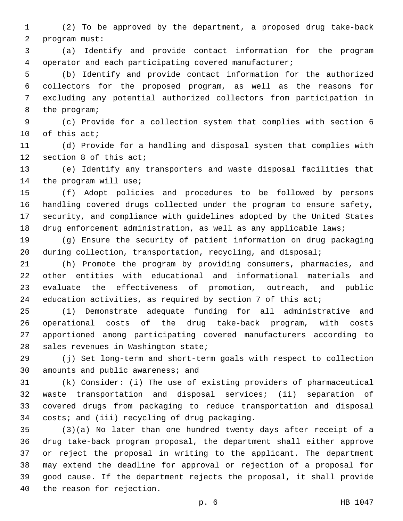(2) To be approved by the department, a proposed drug take-back program must:2

 (a) Identify and provide contact information for the program operator and each participating covered manufacturer;

 (b) Identify and provide contact information for the authorized collectors for the proposed program, as well as the reasons for excluding any potential authorized collectors from participation in 8 the program;

 (c) Provide for a collection system that complies with section 6 10 of this act;

 (d) Provide for a handling and disposal system that complies with 12 section 8 of this act;

 (e) Identify any transporters and waste disposal facilities that 14 the program will use;

 (f) Adopt policies and procedures to be followed by persons handling covered drugs collected under the program to ensure safety, security, and compliance with guidelines adopted by the United States drug enforcement administration, as well as any applicable laws;

 (g) Ensure the security of patient information on drug packaging 20 during collection, transportation, recycling, and disposal;

 (h) Promote the program by providing consumers, pharmacies, and other entities with educational and informational materials and evaluate the effectiveness of promotion, outreach, and public 24 education activities, as required by section 7 of this act;

 (i) Demonstrate adequate funding for all administrative and operational costs of the drug take-back program, with costs apportioned among participating covered manufacturers according to 28 sales revenues in Washington state;

 (j) Set long-term and short-term goals with respect to collection 30 amounts and public awareness; and

 (k) Consider: (i) The use of existing providers of pharmaceutical waste transportation and disposal services; (ii) separation of covered drugs from packaging to reduce transportation and disposal 34 costs; and (iii) recycling of drug packaging.

 (3)(a) No later than one hundred twenty days after receipt of a drug take-back program proposal, the department shall either approve or reject the proposal in writing to the applicant. The department may extend the deadline for approval or rejection of a proposal for good cause. If the department rejects the proposal, it shall provide 40 the reason for rejection.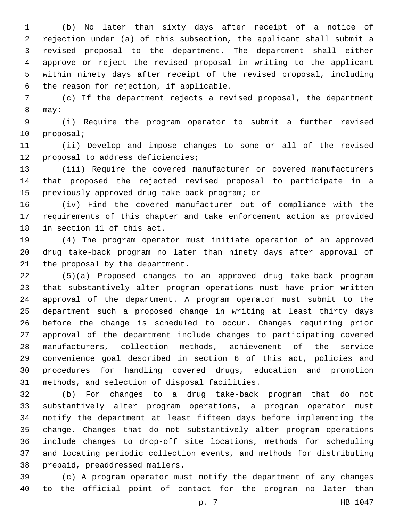(b) No later than sixty days after receipt of a notice of rejection under (a) of this subsection, the applicant shall submit a revised proposal to the department. The department shall either approve or reject the revised proposal in writing to the applicant within ninety days after receipt of the revised proposal, including 6 the reason for rejection, if applicable.

 (c) If the department rejects a revised proposal, the department 8 may:

 (i) Require the program operator to submit a further revised 10 proposal;

 (ii) Develop and impose changes to some or all of the revised 12 proposal to address deficiencies;

 (iii) Require the covered manufacturer or covered manufacturers that proposed the rejected revised proposal to participate in a 15 previously approved drug take-back program; or

 (iv) Find the covered manufacturer out of compliance with the requirements of this chapter and take enforcement action as provided 18 in section 11 of this act.

 (4) The program operator must initiate operation of an approved drug take-back program no later than ninety days after approval of 21 the proposal by the department.

 (5)(a) Proposed changes to an approved drug take-back program that substantively alter program operations must have prior written approval of the department. A program operator must submit to the department such a proposed change in writing at least thirty days before the change is scheduled to occur. Changes requiring prior approval of the department include changes to participating covered manufacturers, collection methods, achievement of the service convenience goal described in section 6 of this act, policies and procedures for handling covered drugs, education and promotion 31 methods, and selection of disposal facilities.

 (b) For changes to a drug take-back program that do not substantively alter program operations, a program operator must notify the department at least fifteen days before implementing the change. Changes that do not substantively alter program operations include changes to drop-off site locations, methods for scheduling and locating periodic collection events, and methods for distributing 38 prepaid, preaddressed mailers.

 (c) A program operator must notify the department of any changes to the official point of contact for the program no later than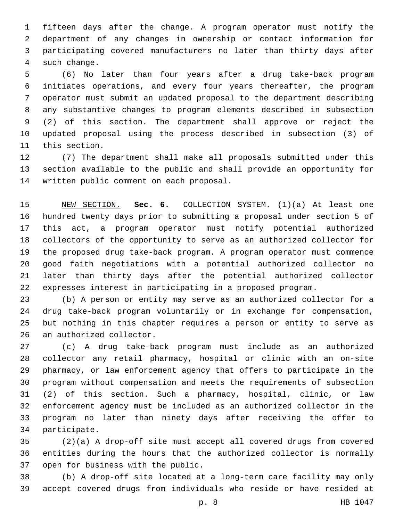fifteen days after the change. A program operator must notify the department of any changes in ownership or contact information for participating covered manufacturers no later than thirty days after 4 such change.

 (6) No later than four years after a drug take-back program initiates operations, and every four years thereafter, the program operator must submit an updated proposal to the department describing any substantive changes to program elements described in subsection (2) of this section. The department shall approve or reject the updated proposal using the process described in subsection (3) of 11 this section.

 (7) The department shall make all proposals submitted under this section available to the public and shall provide an opportunity for 14 written public comment on each proposal.

 NEW SECTION. **Sec. 6.** COLLECTION SYSTEM. (1)(a) At least one hundred twenty days prior to submitting a proposal under section 5 of this act, a program operator must notify potential authorized collectors of the opportunity to serve as an authorized collector for the proposed drug take-back program. A program operator must commence good faith negotiations with a potential authorized collector no later than thirty days after the potential authorized collector expresses interest in participating in a proposed program.

 (b) A person or entity may serve as an authorized collector for a drug take-back program voluntarily or in exchange for compensation, but nothing in this chapter requires a person or entity to serve as 26 an authorized collector.

 (c) A drug take-back program must include as an authorized collector any retail pharmacy, hospital or clinic with an on-site pharmacy, or law enforcement agency that offers to participate in the program without compensation and meets the requirements of subsection (2) of this section. Such a pharmacy, hospital, clinic, or law enforcement agency must be included as an authorized collector in the program no later than ninety days after receiving the offer to 34 participate.

 (2)(a) A drop-off site must accept all covered drugs from covered entities during the hours that the authorized collector is normally 37 open for business with the public.

 (b) A drop-off site located at a long-term care facility may only accept covered drugs from individuals who reside or have resided at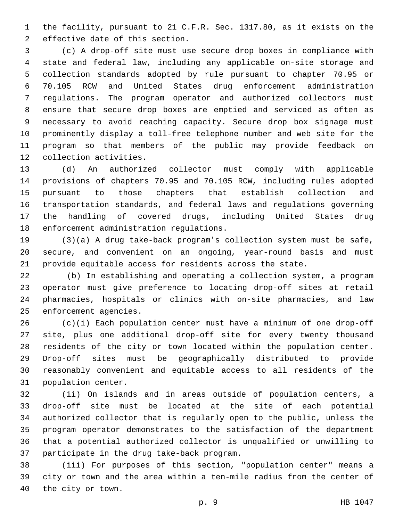the facility, pursuant to 21 C.F.R. Sec. 1317.80, as it exists on the 2 effective date of this section.

 (c) A drop-off site must use secure drop boxes in compliance with state and federal law, including any applicable on-site storage and collection standards adopted by rule pursuant to chapter 70.95 or 70.105 RCW and United States drug enforcement administration regulations. The program operator and authorized collectors must ensure that secure drop boxes are emptied and serviced as often as necessary to avoid reaching capacity. Secure drop box signage must prominently display a toll-free telephone number and web site for the program so that members of the public may provide feedback on 12 collection activities.

 (d) An authorized collector must comply with applicable provisions of chapters 70.95 and 70.105 RCW, including rules adopted pursuant to those chapters that establish collection and transportation standards, and federal laws and regulations governing the handling of covered drugs, including United States drug 18 enforcement administration regulations.

 (3)(a) A drug take-back program's collection system must be safe, secure, and convenient on an ongoing, year-round basis and must provide equitable access for residents across the state.

 (b) In establishing and operating a collection system, a program operator must give preference to locating drop-off sites at retail pharmacies, hospitals or clinics with on-site pharmacies, and law 25 enforcement agencies.

 (c)(i) Each population center must have a minimum of one drop-off site, plus one additional drop-off site for every twenty thousand residents of the city or town located within the population center. Drop-off sites must be geographically distributed to provide reasonably convenient and equitable access to all residents of the 31 population center.

 (ii) On islands and in areas outside of population centers, a drop-off site must be located at the site of each potential authorized collector that is regularly open to the public, unless the program operator demonstrates to the satisfaction of the department that a potential authorized collector is unqualified or unwilling to 37 participate in the drug take-back program.

 (iii) For purposes of this section, "population center" means a city or town and the area within a ten-mile radius from the center of 40 the city or town.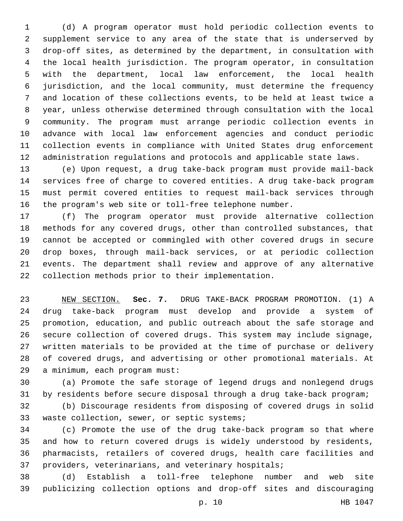(d) A program operator must hold periodic collection events to supplement service to any area of the state that is underserved by drop-off sites, as determined by the department, in consultation with the local health jurisdiction. The program operator, in consultation with the department, local law enforcement, the local health jurisdiction, and the local community, must determine the frequency and location of these collections events, to be held at least twice a year, unless otherwise determined through consultation with the local community. The program must arrange periodic collection events in advance with local law enforcement agencies and conduct periodic collection events in compliance with United States drug enforcement administration regulations and protocols and applicable state laws.

 (e) Upon request, a drug take-back program must provide mail-back services free of charge to covered entities. A drug take-back program must permit covered entities to request mail-back services through the program's web site or toll-free telephone number.

 (f) The program operator must provide alternative collection methods for any covered drugs, other than controlled substances, that cannot be accepted or commingled with other covered drugs in secure drop boxes, through mail-back services, or at periodic collection events. The department shall review and approve of any alternative 22 collection methods prior to their implementation.

 NEW SECTION. **Sec. 7.** DRUG TAKE-BACK PROGRAM PROMOTION. (1) A drug take-back program must develop and provide a system of promotion, education, and public outreach about the safe storage and secure collection of covered drugs. This system may include signage, written materials to be provided at the time of purchase or delivery of covered drugs, and advertising or other promotional materials. At a minimum, each program must:

 (a) Promote the safe storage of legend drugs and nonlegend drugs by residents before secure disposal through a drug take-back program;

 (b) Discourage residents from disposing of covered drugs in solid 33 waste collection, sewer, or septic systems;

 (c) Promote the use of the drug take-back program so that where and how to return covered drugs is widely understood by residents, pharmacists, retailers of covered drugs, health care facilities and providers, veterinarians, and veterinary hospitals;

 (d) Establish a toll-free telephone number and web site publicizing collection options and drop-off sites and discouraging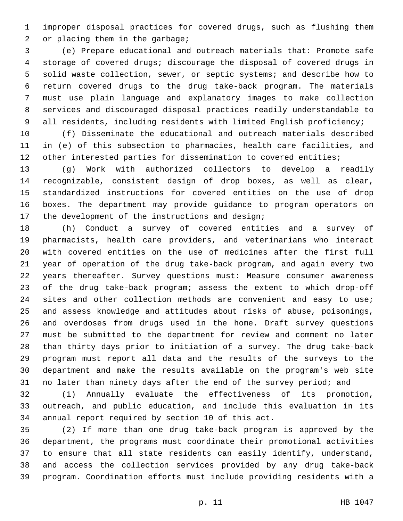improper disposal practices for covered drugs, such as flushing them 2 or placing them in the garbage;

 (e) Prepare educational and outreach materials that: Promote safe storage of covered drugs; discourage the disposal of covered drugs in solid waste collection, sewer, or septic systems; and describe how to return covered drugs to the drug take-back program. The materials must use plain language and explanatory images to make collection services and discouraged disposal practices readily understandable to all residents, including residents with limited English proficiency;

 (f) Disseminate the educational and outreach materials described in (e) of this subsection to pharmacies, health care facilities, and 12 other interested parties for dissemination to covered entities;

 (g) Work with authorized collectors to develop a readily recognizable, consistent design of drop boxes, as well as clear, standardized instructions for covered entities on the use of drop boxes. The department may provide guidance to program operators on 17 the development of the instructions and design;

 (h) Conduct a survey of covered entities and a survey of pharmacists, health care providers, and veterinarians who interact with covered entities on the use of medicines after the first full year of operation of the drug take-back program, and again every two years thereafter. Survey questions must: Measure consumer awareness of the drug take-back program; assess the extent to which drop-off 24 sites and other collection methods are convenient and easy to use; and assess knowledge and attitudes about risks of abuse, poisonings, and overdoses from drugs used in the home. Draft survey questions must be submitted to the department for review and comment no later than thirty days prior to initiation of a survey. The drug take-back program must report all data and the results of the surveys to the department and make the results available on the program's web site 31 no later than ninety days after the end of the survey period; and

 (i) Annually evaluate the effectiveness of its promotion, outreach, and public education, and include this evaluation in its 34 annual report required by section 10 of this act.

 (2) If more than one drug take-back program is approved by the department, the programs must coordinate their promotional activities to ensure that all state residents can easily identify, understand, and access the collection services provided by any drug take-back program. Coordination efforts must include providing residents with a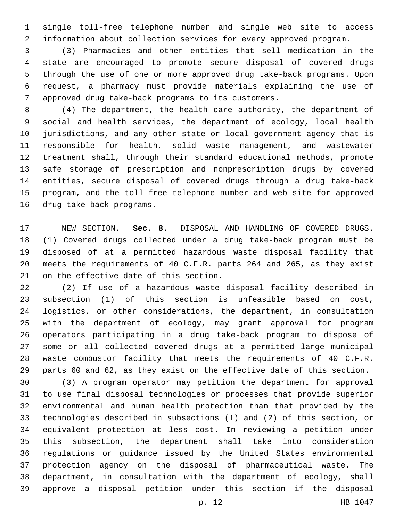single toll-free telephone number and single web site to access information about collection services for every approved program.

 (3) Pharmacies and other entities that sell medication in the state are encouraged to promote secure disposal of covered drugs through the use of one or more approved drug take-back programs. Upon request, a pharmacy must provide materials explaining the use of approved drug take-back programs to its customers.7

 (4) The department, the health care authority, the department of social and health services, the department of ecology, local health jurisdictions, and any other state or local government agency that is responsible for health, solid waste management, and wastewater treatment shall, through their standard educational methods, promote safe storage of prescription and nonprescription drugs by covered entities, secure disposal of covered drugs through a drug take-back program, and the toll-free telephone number and web site for approved 16 drug take-back programs.

 NEW SECTION. **Sec. 8.** DISPOSAL AND HANDLING OF COVERED DRUGS. (1) Covered drugs collected under a drug take-back program must be disposed of at a permitted hazardous waste disposal facility that meets the requirements of 40 C.F.R. parts 264 and 265, as they exist on the effective date of this section.

 (2) If use of a hazardous waste disposal facility described in subsection (1) of this section is unfeasible based on cost, logistics, or other considerations, the department, in consultation with the department of ecology, may grant approval for program operators participating in a drug take-back program to dispose of some or all collected covered drugs at a permitted large municipal waste combustor facility that meets the requirements of 40 C.F.R. parts 60 and 62, as they exist on the effective date of this section.

 (3) A program operator may petition the department for approval to use final disposal technologies or processes that provide superior environmental and human health protection than that provided by the technologies described in subsections (1) and (2) of this section, or equivalent protection at less cost. In reviewing a petition under this subsection, the department shall take into consideration regulations or guidance issued by the United States environmental protection agency on the disposal of pharmaceutical waste. The department, in consultation with the department of ecology, shall approve a disposal petition under this section if the disposal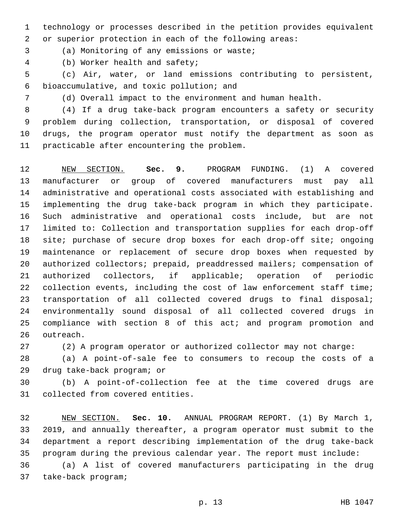technology or processes described in the petition provides equivalent or superior protection in each of the following areas:

3 (a) Monitoring of any emissions or waste;

(b) Worker health and safety;4

 (c) Air, water, or land emissions contributing to persistent, bioaccumulative, and toxic pollution; and6

(d) Overall impact to the environment and human health.

 (4) If a drug take-back program encounters a safety or security problem during collection, transportation, or disposal of covered drugs, the program operator must notify the department as soon as 11 practicable after encountering the problem.

 NEW SECTION. **Sec. 9.** PROGRAM FUNDING. (1) A covered manufacturer or group of covered manufacturers must pay all administrative and operational costs associated with establishing and implementing the drug take-back program in which they participate. Such administrative and operational costs include, but are not limited to: Collection and transportation supplies for each drop-off 18 site; purchase of secure drop boxes for each drop-off site; ongoing maintenance or replacement of secure drop boxes when requested by authorized collectors; prepaid, preaddressed mailers; compensation of authorized collectors, if applicable; operation of periodic 22 collection events, including the cost of law enforcement staff time; transportation of all collected covered drugs to final disposal; environmentally sound disposal of all collected covered drugs in compliance with section 8 of this act; and program promotion and outreach.

(2) A program operator or authorized collector may not charge:

 (a) A point-of-sale fee to consumers to recoup the costs of a 29 drug take-back program; or

 (b) A point-of-collection fee at the time covered drugs are 31 collected from covered entities.

 NEW SECTION. **Sec. 10.** ANNUAL PROGRAM REPORT. (1) By March 1, 2019, and annually thereafter, a program operator must submit to the department a report describing implementation of the drug take-back program during the previous calendar year. The report must include:

 (a) A list of covered manufacturers participating in the drug 37 take-back program;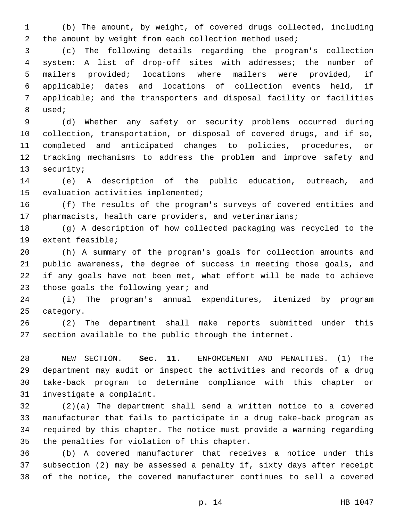(b) The amount, by weight, of covered drugs collected, including 2 the amount by weight from each collection method used;

 (c) The following details regarding the program's collection system: A list of drop-off sites with addresses; the number of mailers provided; locations where mailers were provided, if applicable; dates and locations of collection events held, if applicable; and the transporters and disposal facility or facilities 8 used;

 (d) Whether any safety or security problems occurred during collection, transportation, or disposal of covered drugs, and if so, completed and anticipated changes to policies, procedures, or tracking mechanisms to address the problem and improve safety and 13 security;

 (e) A description of the public education, outreach, and 15 evaluation activities implemented;

 (f) The results of the program's surveys of covered entities and pharmacists, health care providers, and veterinarians;

 (g) A description of how collected packaging was recycled to the 19 extent feasible;

 (h) A summary of the program's goals for collection amounts and public awareness, the degree of success in meeting those goals, and if any goals have not been met, what effort will be made to achieve 23 those goals the following year; and

 (i) The program's annual expenditures, itemized by program 25 category.

 (2) The department shall make reports submitted under this section available to the public through the internet.

 NEW SECTION. **Sec. 11.** ENFORCEMENT AND PENALTIES. (1) The department may audit or inspect the activities and records of a drug take-back program to determine compliance with this chapter or investigate a complaint.

 (2)(a) The department shall send a written notice to a covered manufacturer that fails to participate in a drug take-back program as required by this chapter. The notice must provide a warning regarding 35 the penalties for violation of this chapter.

 (b) A covered manufacturer that receives a notice under this subsection (2) may be assessed a penalty if, sixty days after receipt of the notice, the covered manufacturer continues to sell a covered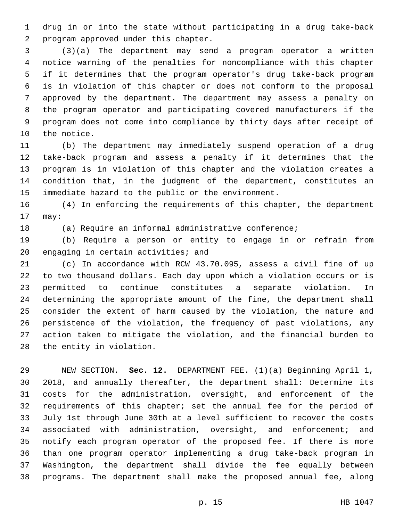drug in or into the state without participating in a drug take-back 2 program approved under this chapter.

 (3)(a) The department may send a program operator a written notice warning of the penalties for noncompliance with this chapter if it determines that the program operator's drug take-back program is in violation of this chapter or does not conform to the proposal approved by the department. The department may assess a penalty on the program operator and participating covered manufacturers if the program does not come into compliance by thirty days after receipt of 10 the notice.

 (b) The department may immediately suspend operation of a drug take-back program and assess a penalty if it determines that the program is in violation of this chapter and the violation creates a condition that, in the judgment of the department, constitutes an immediate hazard to the public or the environment.

 (4) In enforcing the requirements of this chapter, the department 17 may:

(a) Require an informal administrative conference;

 (b) Require a person or entity to engage in or refrain from 20 engaging in certain activities; and

 (c) In accordance with RCW 43.70.095, assess a civil fine of up to two thousand dollars. Each day upon which a violation occurs or is permitted to continue constitutes a separate violation. In determining the appropriate amount of the fine, the department shall consider the extent of harm caused by the violation, the nature and persistence of the violation, the frequency of past violations, any action taken to mitigate the violation, and the financial burden to 28 the entity in violation.

 NEW SECTION. **Sec. 12.** DEPARTMENT FEE. (1)(a) Beginning April 1, 2018, and annually thereafter, the department shall: Determine its costs for the administration, oversight, and enforcement of the requirements of this chapter; set the annual fee for the period of July 1st through June 30th at a level sufficient to recover the costs associated with administration, oversight, and enforcement; and notify each program operator of the proposed fee. If there is more than one program operator implementing a drug take-back program in Washington, the department shall divide the fee equally between programs. The department shall make the proposed annual fee, along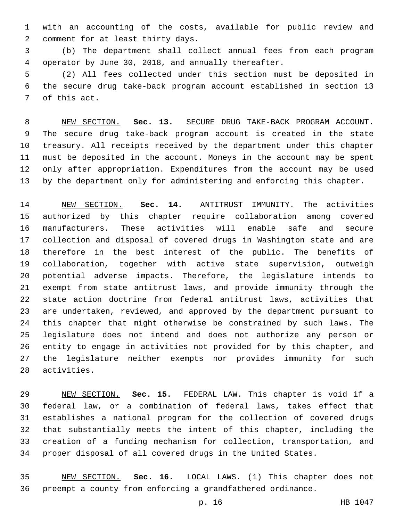with an accounting of the costs, available for public review and 2 comment for at least thirty days.

 (b) The department shall collect annual fees from each program operator by June 30, 2018, and annually thereafter.

 (2) All fees collected under this section must be deposited in the secure drug take-back program account established in section 13 7 of this act.

 NEW SECTION. **Sec. 13.** SECURE DRUG TAKE-BACK PROGRAM ACCOUNT. The secure drug take-back program account is created in the state treasury. All receipts received by the department under this chapter must be deposited in the account. Moneys in the account may be spent only after appropriation. Expenditures from the account may be used by the department only for administering and enforcing this chapter.

 NEW SECTION. **Sec. 14.** ANTITRUST IMMUNITY. The activities authorized by this chapter require collaboration among covered manufacturers. These activities will enable safe and secure collection and disposal of covered drugs in Washington state and are therefore in the best interest of the public. The benefits of collaboration, together with active state supervision, outweigh potential adverse impacts. Therefore, the legislature intends to exempt from state antitrust laws, and provide immunity through the state action doctrine from federal antitrust laws, activities that are undertaken, reviewed, and approved by the department pursuant to this chapter that might otherwise be constrained by such laws. The legislature does not intend and does not authorize any person or entity to engage in activities not provided for by this chapter, and the legislature neither exempts nor provides immunity for such activities.

 NEW SECTION. **Sec. 15.** FEDERAL LAW. This chapter is void if a federal law, or a combination of federal laws, takes effect that establishes a national program for the collection of covered drugs that substantially meets the intent of this chapter, including the creation of a funding mechanism for collection, transportation, and proper disposal of all covered drugs in the United States.

 NEW SECTION. **Sec. 16.** LOCAL LAWS. (1) This chapter does not preempt a county from enforcing a grandfathered ordinance.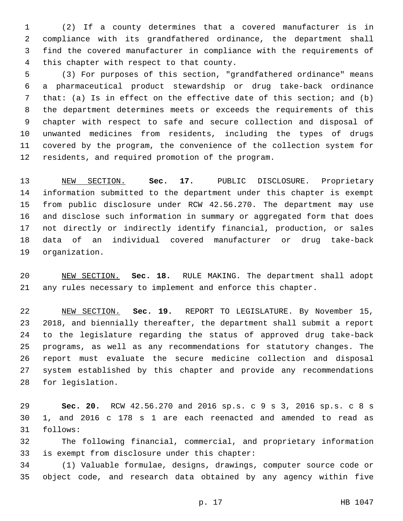(2) If a county determines that a covered manufacturer is in compliance with its grandfathered ordinance, the department shall find the covered manufacturer in compliance with the requirements of 4 this chapter with respect to that county.

 (3) For purposes of this section, "grandfathered ordinance" means a pharmaceutical product stewardship or drug take-back ordinance that: (a) Is in effect on the effective date of this section; and (b) the department determines meets or exceeds the requirements of this chapter with respect to safe and secure collection and disposal of unwanted medicines from residents, including the types of drugs covered by the program, the convenience of the collection system for 12 residents, and required promotion of the program.

 NEW SECTION. **Sec. 17.** PUBLIC DISCLOSURE. Proprietary information submitted to the department under this chapter is exempt from public disclosure under RCW 42.56.270. The department may use and disclose such information in summary or aggregated form that does not directly or indirectly identify financial, production, or sales data of an individual covered manufacturer or drug take-back organization.

 NEW SECTION. **Sec. 18.** RULE MAKING. The department shall adopt any rules necessary to implement and enforce this chapter.

 NEW SECTION. **Sec. 19.** REPORT TO LEGISLATURE. By November 15, 2018, and biennially thereafter, the department shall submit a report to the legislature regarding the status of approved drug take-back programs, as well as any recommendations for statutory changes. The report must evaluate the secure medicine collection and disposal system established by this chapter and provide any recommendations for legislation.

 **Sec. 20.** RCW 42.56.270 and 2016 sp.s. c 9 s 3, 2016 sp.s. c 8 s 1, and 2016 c 178 s 1 are each reenacted and amended to read as 31 follows:

 The following financial, commercial, and proprietary information 33 is exempt from disclosure under this chapter:

 (1) Valuable formulae, designs, drawings, computer source code or object code, and research data obtained by any agency within five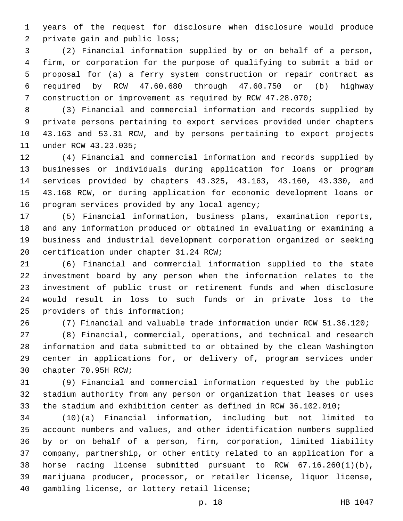years of the request for disclosure when disclosure would produce 2 private gain and public loss;

 (2) Financial information supplied by or on behalf of a person, firm, or corporation for the purpose of qualifying to submit a bid or proposal for (a) a ferry system construction or repair contract as required by RCW 47.60.680 through 47.60.750 or (b) highway construction or improvement as required by RCW 47.28.070;

 (3) Financial and commercial information and records supplied by private persons pertaining to export services provided under chapters 43.163 and 53.31 RCW, and by persons pertaining to export projects 11 under RCW 43.23.035;

 (4) Financial and commercial information and records supplied by businesses or individuals during application for loans or program services provided by chapters 43.325, 43.163, 43.160, 43.330, and 43.168 RCW, or during application for economic development loans or 16 program services provided by any local agency;

 (5) Financial information, business plans, examination reports, and any information produced or obtained in evaluating or examining a business and industrial development corporation organized or seeking 20 certification under chapter 31.24 RCW;

 (6) Financial and commercial information supplied to the state investment board by any person when the information relates to the investment of public trust or retirement funds and when disclosure would result in loss to such funds or in private loss to the 25 providers of this information;

(7) Financial and valuable trade information under RCW 51.36.120;

 (8) Financial, commercial, operations, and technical and research information and data submitted to or obtained by the clean Washington center in applications for, or delivery of, program services under 30 chapter 70.95H RCW;

 (9) Financial and commercial information requested by the public stadium authority from any person or organization that leases or uses the stadium and exhibition center as defined in RCW 36.102.010;

 (10)(a) Financial information, including but not limited to account numbers and values, and other identification numbers supplied by or on behalf of a person, firm, corporation, limited liability company, partnership, or other entity related to an application for a horse racing license submitted pursuant to RCW 67.16.260(1)(b), marijuana producer, processor, or retailer license, liquor license, 40 gambling license, or lottery retail license;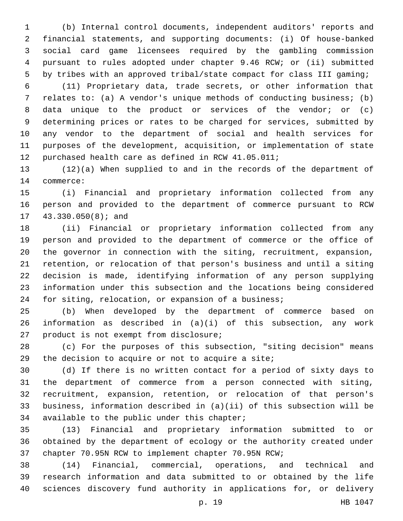(b) Internal control documents, independent auditors' reports and financial statements, and supporting documents: (i) Of house-banked social card game licensees required by the gambling commission pursuant to rules adopted under chapter 9.46 RCW; or (ii) submitted by tribes with an approved tribal/state compact for class III gaming;

 (11) Proprietary data, trade secrets, or other information that relates to: (a) A vendor's unique methods of conducting business; (b) data unique to the product or services of the vendor; or (c) determining prices or rates to be charged for services, submitted by any vendor to the department of social and health services for purposes of the development, acquisition, or implementation of state purchased health care as defined in RCW 41.05.011;

 (12)(a) When supplied to and in the records of the department of 14 commerce:

 (i) Financial and proprietary information collected from any person and provided to the department of commerce pursuant to RCW 17 43.330.050(8); and

 (ii) Financial or proprietary information collected from any person and provided to the department of commerce or the office of the governor in connection with the siting, recruitment, expansion, retention, or relocation of that person's business and until a siting decision is made, identifying information of any person supplying information under this subsection and the locations being considered for siting, relocation, or expansion of a business;

 (b) When developed by the department of commerce based on information as described in (a)(i) of this subsection, any work 27 product is not exempt from disclosure;

 (c) For the purposes of this subsection, "siting decision" means 29 the decision to acquire or not to acquire a site;

 (d) If there is no written contact for a period of sixty days to the department of commerce from a person connected with siting, recruitment, expansion, retention, or relocation of that person's business, information described in (a)(ii) of this subsection will be 34 available to the public under this chapter;

 (13) Financial and proprietary information submitted to or obtained by the department of ecology or the authority created under chapter 70.95N RCW to implement chapter 70.95N RCW;

 (14) Financial, commercial, operations, and technical and research information and data submitted to or obtained by the life sciences discovery fund authority in applications for, or delivery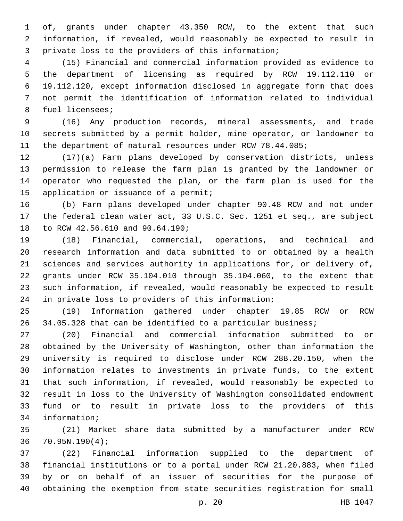of, grants under chapter 43.350 RCW, to the extent that such information, if revealed, would reasonably be expected to result in 3 private loss to the providers of this information;

 (15) Financial and commercial information provided as evidence to the department of licensing as required by RCW 19.112.110 or 19.112.120, except information disclosed in aggregate form that does not permit the identification of information related to individual 8 fuel licensees;

 (16) Any production records, mineral assessments, and trade secrets submitted by a permit holder, mine operator, or landowner to the department of natural resources under RCW 78.44.085;

 (17)(a) Farm plans developed by conservation districts, unless permission to release the farm plan is granted by the landowner or operator who requested the plan, or the farm plan is used for the 15 application or issuance of a permit;

 (b) Farm plans developed under chapter 90.48 RCW and not under the federal clean water act, 33 U.S.C. Sec. 1251 et seq., are subject 18 to RCW 42.56.610 and 90.64.190;

 (18) Financial, commercial, operations, and technical and research information and data submitted to or obtained by a health sciences and services authority in applications for, or delivery of, grants under RCW 35.104.010 through 35.104.060, to the extent that such information, if revealed, would reasonably be expected to result 24 in private loss to providers of this information;

 (19) Information gathered under chapter 19.85 RCW or RCW 34.05.328 that can be identified to a particular business;

 (20) Financial and commercial information submitted to or obtained by the University of Washington, other than information the university is required to disclose under RCW 28B.20.150, when the information relates to investments in private funds, to the extent that such information, if revealed, would reasonably be expected to result in loss to the University of Washington consolidated endowment fund or to result in private loss to the providers of this 34 information;

 (21) Market share data submitted by a manufacturer under RCW 70.95N.190(4);36

 (22) Financial information supplied to the department of financial institutions or to a portal under RCW 21.20.883, when filed by or on behalf of an issuer of securities for the purpose of obtaining the exemption from state securities registration for small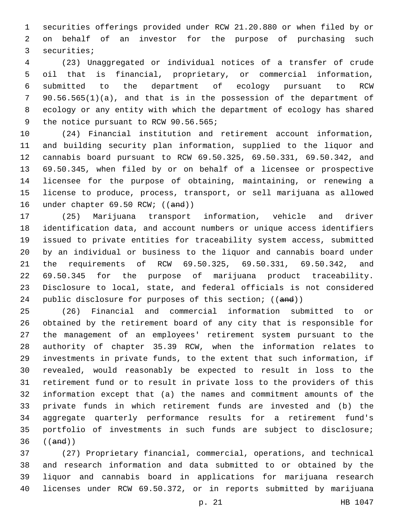securities offerings provided under RCW 21.20.880 or when filed by or on behalf of an investor for the purpose of purchasing such 3 securities;

 (23) Unaggregated or individual notices of a transfer of crude oil that is financial, proprietary, or commercial information, submitted to the department of ecology pursuant to RCW 90.56.565(1)(a), and that is in the possession of the department of ecology or any entity with which the department of ecology has shared 9 the notice pursuant to RCW 90.56.565;

 (24) Financial institution and retirement account information, and building security plan information, supplied to the liquor and cannabis board pursuant to RCW 69.50.325, 69.50.331, 69.50.342, and 69.50.345, when filed by or on behalf of a licensee or prospective licensee for the purpose of obtaining, maintaining, or renewing a license to produce, process, transport, or sell marijuana as allowed 16 under chapter 69.50 RCW; ((and))

 (25) Marijuana transport information, vehicle and driver identification data, and account numbers or unique access identifiers issued to private entities for traceability system access, submitted by an individual or business to the liquor and cannabis board under the requirements of RCW 69.50.325, 69.50.331, 69.50.342, and 69.50.345 for the purpose of marijuana product traceability. Disclosure to local, state, and federal officials is not considered 24 public disclosure for purposes of this section; ((and))

 (26) Financial and commercial information submitted to or obtained by the retirement board of any city that is responsible for the management of an employees' retirement system pursuant to the authority of chapter 35.39 RCW, when the information relates to investments in private funds, to the extent that such information, if revealed, would reasonably be expected to result in loss to the retirement fund or to result in private loss to the providers of this information except that (a) the names and commitment amounts of the private funds in which retirement funds are invested and (b) the aggregate quarterly performance results for a retirement fund's portfolio of investments in such funds are subject to disclosure; ((and))

 (27) Proprietary financial, commercial, operations, and technical and research information and data submitted to or obtained by the liquor and cannabis board in applications for marijuana research licenses under RCW 69.50.372, or in reports submitted by marijuana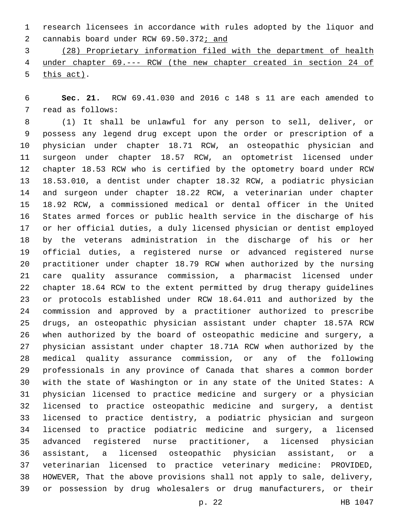research licensees in accordance with rules adopted by the liquor and 2 cannabis board under RCW 69.50.372; and

 (28) Proprietary information filed with the department of health under chapter 69.--- RCW (the new chapter created in section 24 of  $this$  act).

 **Sec. 21.** RCW 69.41.030 and 2016 c 148 s 11 are each amended to 7 read as follows:

 (1) It shall be unlawful for any person to sell, deliver, or possess any legend drug except upon the order or prescription of a physician under chapter 18.71 RCW, an osteopathic physician and surgeon under chapter 18.57 RCW, an optometrist licensed under chapter 18.53 RCW who is certified by the optometry board under RCW 18.53.010, a dentist under chapter 18.32 RCW, a podiatric physician and surgeon under chapter 18.22 RCW, a veterinarian under chapter 18.92 RCW, a commissioned medical or dental officer in the United States armed forces or public health service in the discharge of his or her official duties, a duly licensed physician or dentist employed by the veterans administration in the discharge of his or her official duties, a registered nurse or advanced registered nurse practitioner under chapter 18.79 RCW when authorized by the nursing care quality assurance commission, a pharmacist licensed under chapter 18.64 RCW to the extent permitted by drug therapy guidelines or protocols established under RCW 18.64.011 and authorized by the commission and approved by a practitioner authorized to prescribe drugs, an osteopathic physician assistant under chapter 18.57A RCW when authorized by the board of osteopathic medicine and surgery, a physician assistant under chapter 18.71A RCW when authorized by the medical quality assurance commission, or any of the following professionals in any province of Canada that shares a common border with the state of Washington or in any state of the United States: A physician licensed to practice medicine and surgery or a physician licensed to practice osteopathic medicine and surgery, a dentist licensed to practice dentistry, a podiatric physician and surgeon licensed to practice podiatric medicine and surgery, a licensed advanced registered nurse practitioner, a licensed physician assistant, a licensed osteopathic physician assistant, or a veterinarian licensed to practice veterinary medicine: PROVIDED, HOWEVER, That the above provisions shall not apply to sale, delivery, or possession by drug wholesalers or drug manufacturers, or their

p. 22 HB 1047